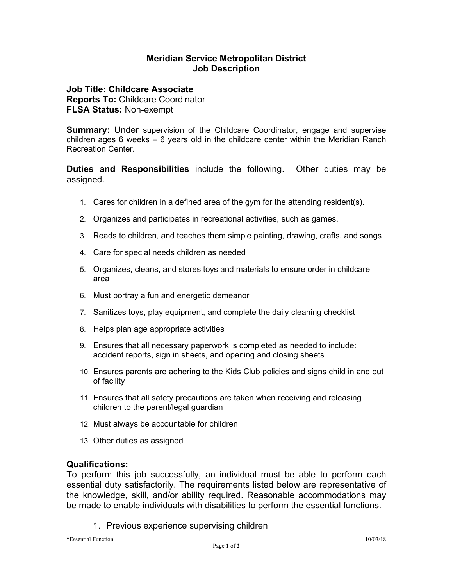# **Meridian Service Metropolitan District Job Description**

**Job Title: Childcare Associate Reports To:** Childcare Coordinator **FLSA Status:** Non-exempt

**Summary:** Under supervision of the Childcare Coordinator, engage and supervise children ages 6 weeks – 6 years old in the childcare center within the Meridian Ranch Recreation Center.

**Duties and Responsibilities** include the following. Other duties may be assigned.

- 1. Cares for children in a defined area of the gym for the attending resident(s).
- 2. Organizes and participates in recreational activities, such as games.
- 3. Reads to children, and teaches them simple painting, drawing, crafts, and songs
- 4. Care for special needs children as needed
- 5. Organizes, cleans, and stores toys and materials to ensure order in childcare area
- 6. Must portray a fun and energetic demeanor
- 7. Sanitizes toys, play equipment, and complete the daily cleaning checklist
- 8. Helps plan age appropriate activities
- 9. Ensures that all necessary paperwork is completed as needed to include: accident reports, sign in sheets, and opening and closing sheets
- 10. Ensures parents are adhering to the Kids Club policies and signs child in and out of facility
- 11. Ensures that all safety precautions are taken when receiving and releasing children to the parent/legal guardian
- 12. Must always be accountable for children
- 13. Other duties as assigned

### **Qualifications:**

To perform this job successfully, an individual must be able to perform each essential duty satisfactorily. The requirements listed below are representative of the knowledge, skill, and/or ability required. Reasonable accommodations may be made to enable individuals with disabilities to perform the essential functions.

1. Previous experience supervising children